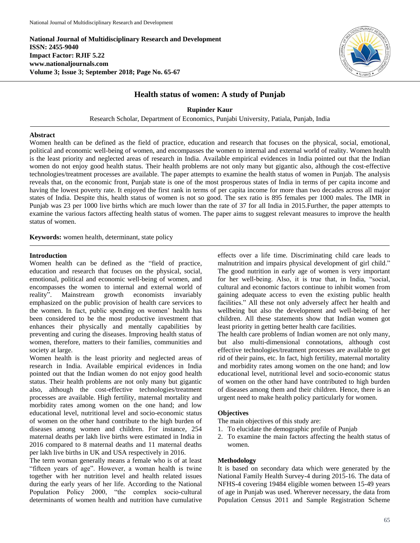**National Journal of Multidisciplinary Research and Development ISSN: 2455-9040 Impact Factor: RJIF 5.22 www.nationaljournals.com Volume 3; Issue 3; September 2018; Page No. 65-67**



# **Health status of women: A study of Punjab**

**Rupinder Kaur**

Research Scholar, Department of Economics, Punjabi University, Patiala, Punjab, India

## **Abstract**

Women health can be defined as the field of practice, education and research that focuses on the physical, social, emotional, political and economic well-being of women, and encompasses the women to internal and external world of reality. Women health is the least priority and neglected areas of research in India. Available empirical evidences in India pointed out that the Indian women do not enjoy good health status. Their health problems are not only many but gigantic also, although the cost-effective technologies/treatment processes are available. The paper attempts to examine the health status of women in Punjab. The analysis reveals that, on the economic front, Punjab state is one of the most prosperous states of India in terms of per capita income and having the lowest poverty rate. It enjoyed the first rank in terms of per capita income for more than two decades across all major states of India. Despite this, health status of women is not so good. The sex ratio is 895 females per 1000 males. The IMR in Punjab was 23 per 1000 live births which are much lower than the rate of 37 for all India in 2015.Further, the paper attempts to examine the various factors affecting health status of women. The paper aims to suggest relevant measures to improve the health status of women.

**Keywords:** women health, determinant, state policy

#### **Introduction**

Women health can be defined as the "field of practice, education and research that focuses on the physical, social, emotional, political and economic well-being of women, and encompasses the women to internal and external world of reality". Mainstream growth economists invariably emphasized on the public provision of health care services to the women. In fact, public spending on women' health has been considered to be the most productive investment that enhances their physically and mentally capabilities by preventing and curing the diseases. Improving health status of women, therefore, matters to their families, communities and society at large.

Women health is the least priority and neglected areas of research in India. Available empirical evidences in India pointed out that the Indian women do not enjoy good health status. Their health problems are not only many but gigantic also, although the cost-effective technologies/treatment processes are available. High fertility, maternal mortality and morbidity rates among women on the one hand; and low educational level, nutritional level and socio-economic status of women on the other hand contribute to the high burden of diseases among women and children. For instance, 254 maternal deaths per lakh live births were estimated in India in 2016 compared to 8 maternal deaths and 11 maternal deaths per lakh live births in UK and USA respectively in 2016.

The term woman generally means a female who is of at least "fifteen years of age". However, a woman health is twine together with her nutrition level and health related issues during the early years of her life. According to the National Population Policy 2000, "the complex socio-cultural determinants of women health and nutrition have cumulative

effects over a life time. Discriminating child care leads to malnutrition and impairs physical development of girl child." The good nutrition in early age of women is very important for her well-being. Also, it is true that, in India, "social, cultural and economic factors continue to inhibit women from gaining adequate access to even the existing public health facilities." All these not only adversely affect her health and wellbeing but also the development and well-being of her children. All these statements show that Indian women got least priority in getting better health care facilities.

The health care problems of Indian women are not only many, but also multi-dimensional connotations, although cost effective technologies/treatment processes are available to get rid of their pains, etc. In fact, high fertility, maternal mortality and morbidity rates among women on the one hand; and low educational level, nutritional level and socio-economic status of women on the other hand have contributed to high burden of diseases among them and their children. Hence, there is an urgent need to make health policy particularly for women.

# **Objectives**

The main objectives of this study are:

- 1. To elucidate the demographic profile of Punjab
- 2. To examine the main factors affecting the health status of women.

#### **Methodology**

It is based on secondary data which were generated by the National Family Health Survey-4 during 2015-16. The data of NFHS-4 covering 19484 eligible women between 15-49 years of age in Punjab was used. Wherever necessary, the data from Population Census 2011 and Sample Registration Scheme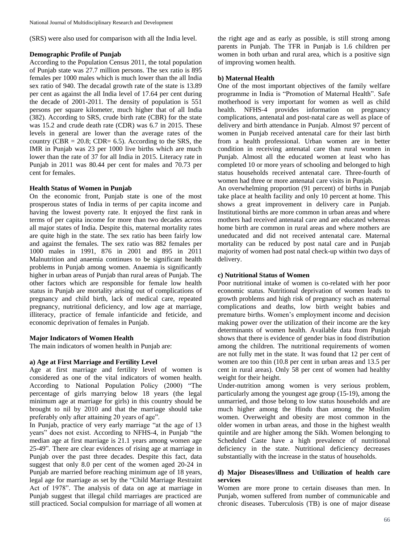(SRS) were also used for comparison with all the India level.

#### **Demographic Profile of Punjab**

According to the Population Census 2011, the total population of Punjab state was 27.7 million persons. The sex ratio is 895 females per 1000 males which is much lower than the all India sex ratio of 940. The decadal growth rate of the state is 13.89 per cent as against the all India level of 17.64 per cent during the decade of 2001-2011. The density of population is 551 persons per square kilometer, much higher that of all India (382). According to SRS, crude birth rate (CBR) for the state was 15.2 and crude death rate (CDR) was 6.7 in 2015. These levels in general are lower than the average rates of the country (CBR =  $20.8$ ; CDR=  $6.5$ ). According to the SRS, the IMR in Punjab was 23 per 1000 live births which are much lower than the rate of 37 for all India in 2015. Literacy rate in Punjab in 2011 was 80.44 per cent for males and 70.73 per cent for females.

## **Health Status of Women in Punjab**

On the economic front, Punjab state is one of the most prosperous states of India in terms of per capita income and having the lowest poverty rate. It enjoyed the first rank in terms of per capita income for more than two decades across all major states of India. Despite this, maternal mortality rates are quite high in the state. The sex ratio has been fairly low and against the females. The sex ratio was 882 females per 1000 males in 1991, 876 in 2001 and 895 in 2011 Malnutrition and anaemia continues to be significant health problems in Punjab among women. Anaemia is significantly higher in urban areas of Punjab than rural areas of Punjab. The other factors which are responsible for female low health status in Punjab are mortality arising out of complications of pregnancy and child birth, lack of medical care, repeated pregnancy, nutritional deficiency, and low age at marriage, illiteracy, practice of female infanticide and feticide, and economic deprivation of females in Punjab.

## **Major Indicators of Women Health**

The main indicators of women health in Punjab are:

## **a) Age at First Marriage and Fertility Level**

Age at first marriage and fertility level of women is considered as one of the vital indicators of women health. According to National Population Policy (2000) "The percentage of girls marrying below 18 years (the legal minimum age at marriage for girls) in this country should be brought to nil by 2010 and that the marriage should take preferably only after attaining 20 years of age".

In Punjab, practice of very early marriage "at the age of 13 years" does not exist. According to NFHS-4, in Punjab "the median age at first marriage is 21.1 years among women age 25-49". There are clear evidences of rising age at marriage in Punjab over the past three decades. Despite this fact, data suggest that only 8.0 per cent of the women aged 20-24 in Punjab are married before reaching minimum age of 18 years, legal age for marriage as set by the "Child Marriage Restraint Act of 1978". The analysis of data on age at marriage in Punjab suggest that illegal child marriages are practiced are still practiced. Social compulsion for marriage of all women at

the right age and as early as possible, is still strong among parents in Punjab. The TFR in Punjab is 1.6 children per women in both urban and rural area, which is a positive sign of improving women health.

## **b) Maternal Health**

One of the most important objectives of the family welfare programme in India is "Promotion of Maternal Health". Safe motherhood is very important for women as well as child health. NFHS-4 provides information on pregnancy complications, antenatal and post-natal care as well as place of delivery and birth attendance in Punjab. Almost 97 percent of women in Punjab received antenatal care for their last birth from a health professional. Urban women are in better condition in receiving antenatal care than rural women in Punjab. Almost all the educated women at least who has completed 10 or more years of schooling and belonged to high status households received antenatal care. Three-fourth of women had three or more antenatal care visits in Punjab.

An overwhelming proportion (91 percent) of births in Punjab take place at health facility and only 10 percent at home. This shows a great improvement in delivery care in Punjab. Institutional births are more common in urban areas and where mothers had received antenatal care and are educated whereas home birth are common in rural areas and where mothers are uneducated and did not received antenatal care. Maternal mortality can be reduced by post natal care and in Punjab majority of women had post natal check-up within two days of delivery.

## **c) Nutritional Status of Women**

Poor nutritional intake of women is co-related with her poor economic status. Nutritional deprivation of women leads to growth problems and high risk of pregnancy such as maternal complications and deaths, low birth weight babies and premature births. Women's employment income and decision making power over the utilization of their income are the key determinants of women health. Available data from Punjab shows that there is evidence of gender bias in food distribution among the children. The nutritional requirements of women are not fully met in the state. It was found that 12 per cent of women are too thin (10.8 per cent in urban areas and 13.5 per cent in rural areas). Only 58 per cent of women had healthy weight for their height.

Under-nutrition among women is very serious problem, particularly among the youngest age group (15-19), among the unmarried, and those belong to low status households and are much higher among the Hindu than among the Muslim women. Overweight and obesity are most common in the older women in urban areas, and those in the highest wealth quintile and are higher among the Sikh. Women belonging to Scheduled Caste have a high prevalence of nutritional deficiency in the state. Nutritional deficiency decreases substantially with the increase in the status of households.

# **d) Major Diseases/illness and Utilization of health care services**

Women are more prone to certain diseases than men. In Punjab, women suffered from number of communicable and chronic diseases. Tuberculosis (TB) is one of major disease